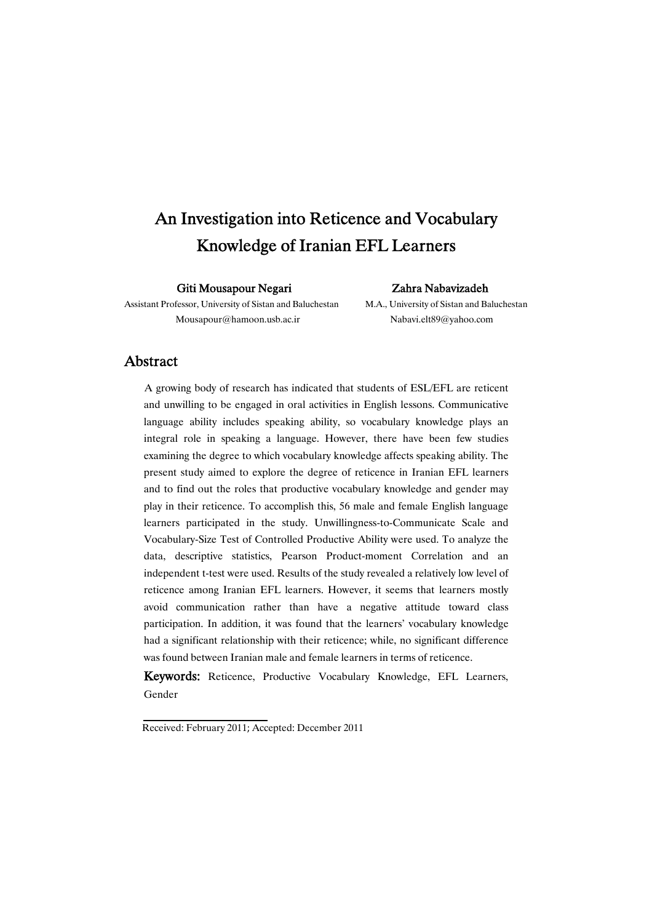# An Investigation into Reticence and Vocabulary Knowledge of Iranian EFL Learners

#### Giti Mousapour Negari Zahra Nabavizadeh

Assistant Professor, University of Sistan and Baluchestan M.A., University of Sistan and Baluchestan Mousapour@hamoon.usb.ac.ir Nabavi.elt89@yahoo.com

### Abstract

A growing body of research has indicated that students of ESL/EFL are reticent and unwilling to be engaged in oral activities in English lessons. Communicative language ability includes speaking ability, so vocabulary knowledge plays an integral role in speaking a language. However, there have been few studies examining the degree to which vocabulary knowledge affects speaking ability. The present study aimed to explore the degree of reticence in Iranian EFL learners and to find out the roles that productive vocabulary knowledge and gender may play in their reticence. To accomplish this, 56 male and female English language learners participated in the study. Unwillingness-to-Communicate Scale and Vocabulary-Size Test of Controlled Productive Ability were used. To analyze the data, descriptive statistics, Pearson Product-moment Correlation and an independent t-test were used. Results of the study revealed a relatively low level of reticence among Iranian EFL learners. However, it seems that learners mostly avoid communication rather than have a negative attitude toward class participation. In addition, it was found that the learners' vocabulary knowledge had a significant relationship with their reticence; while, no significant difference was found between Iranian male and female learners in terms of reticence.

Keywords: Reticence, Productive Vocabulary Knowledge, EFL Learners, Gender

Received: February 2011; Accepted: December 2011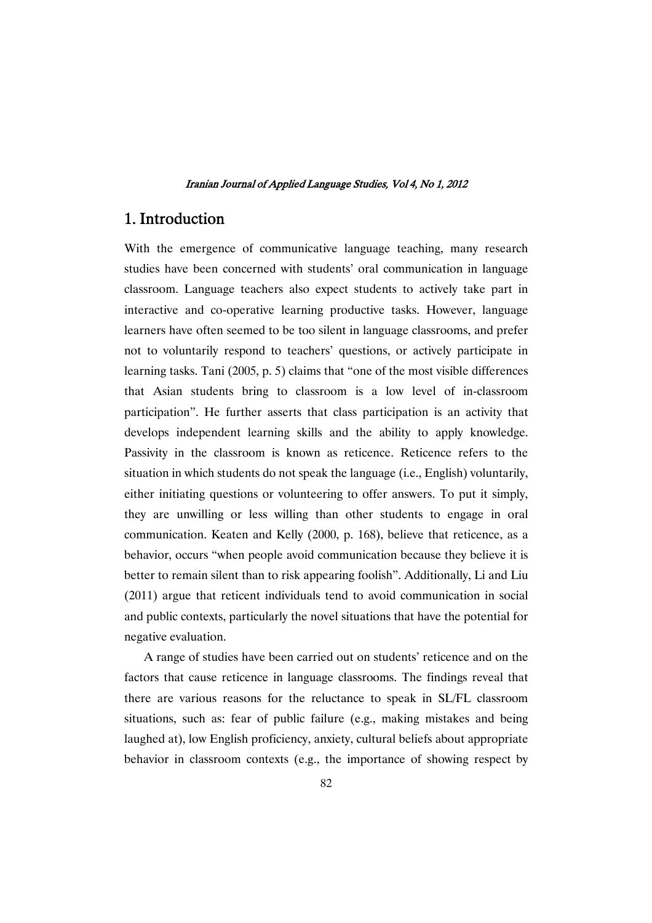### 1.Introduction

With the emergence of communicative language teaching, many research studies have been concerned with students' oral communication in language classroom. Language teachers also expect students to actively take part in interactive and co-operative learning productive tasks. However, language learners have often seemed to be too silent in language classrooms, and prefer not to voluntarily respond to teachers' questions, or actively participate in learning tasks. Tani (2005, p. 5) claims that "one of the most visible differences that Asian students bring to classroom is a low level of in-classroom participation". He further asserts that class participation is an activity that develops independent learning skills and the ability to apply knowledge. Passivity in the classroom is known as reticence. Reticence refers to the situation in which students do not speak the language (i.e., English) voluntarily, either initiating questions or volunteering to offer answers. To put it simply, they are unwilling or less willing than other students to engage in oral communication. Keaten and Kelly (2000, p. 168), believe that reticence, as a behavior, occurs "when people avoid communication because they believe it is better to remain silent than to risk appearing foolish". Additionally, Li and Liu (2011) argue that reticent individuals tend to avoid communication in social and public contexts, particularly the novel situations that have the potential for negative evaluation.

A range of studies have been carried out on students' reticence and on the factors that cause reticence in language classrooms. The findings reveal that there are various reasons for the reluctance to speak in SL/FL classroom situations, such as: fear of public failure (e.g., making mistakes and being laughed at), low English proficiency, anxiety, cultural beliefs about appropriate behavior in classroom contexts (e.g., the importance of showing respect by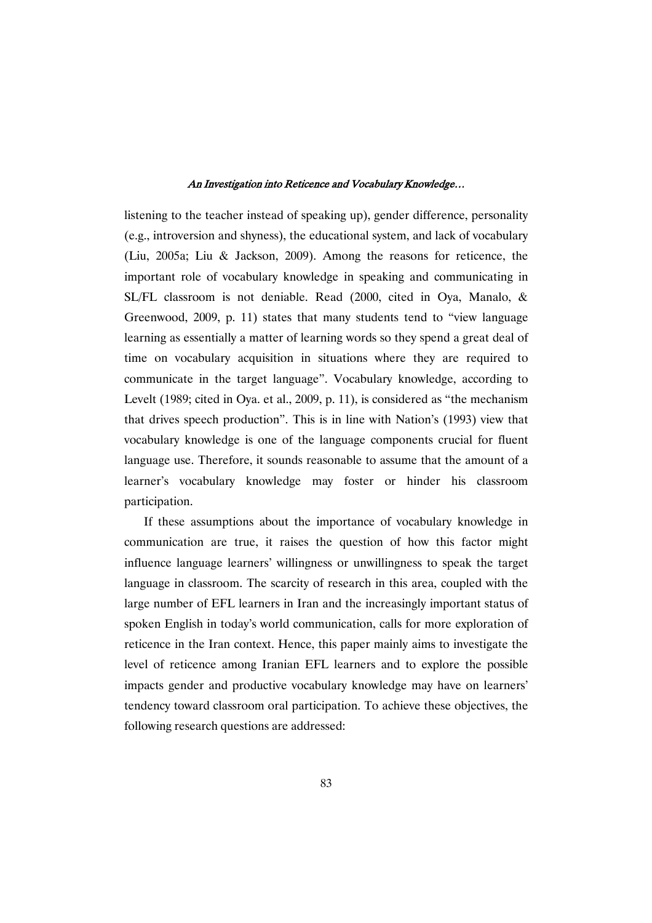listening to the teacher instead of speaking up), gender difference, personality (e.g., introversion and shyness), the educational system, and lack of vocabulary (Liu, 2005a; Liu & Jackson, 2009). Among the reasons for reticence, the important role of vocabulary knowledge in speaking and communicating in SL/FL classroom is not deniable. Read (2000, cited in Oya, Manalo, & Greenwood, 2009, p. 11) states that many students tend to "view language learning as essentially a matter of learning words so they spend a great deal of time on vocabulary acquisition in situations where they are required to communicate in the target language". Vocabulary knowledge, according to Levelt (1989; cited in Oya. et al., 2009, p. 11), is considered as "the mechanism that drives speech production". This is in line with Nation's (1993) view that vocabulary knowledge is one of the language components crucial for fluent language use. Therefore, it sounds reasonable to assume that the amount of a learner's vocabulary knowledge may foster or hinder his classroom participation.

If these assumptions about the importance of vocabulary knowledge in communication are true, it raises the question of how this factor might influence language learners' willingness or unwillingness to speak the target language in classroom. The scarcity of research in this area, coupled with the large number of EFL learners in Iran and the increasingly important status of spoken English in today's world communication, calls for more exploration of reticence in the Iran context. Hence, this paper mainly aims to investigate the level of reticence among Iranian EFL learners and to explore the possible impacts gender and productive vocabulary knowledge may have on learners' tendency toward classroom oral participation. To achieve these objectives, the following research questions are addressed: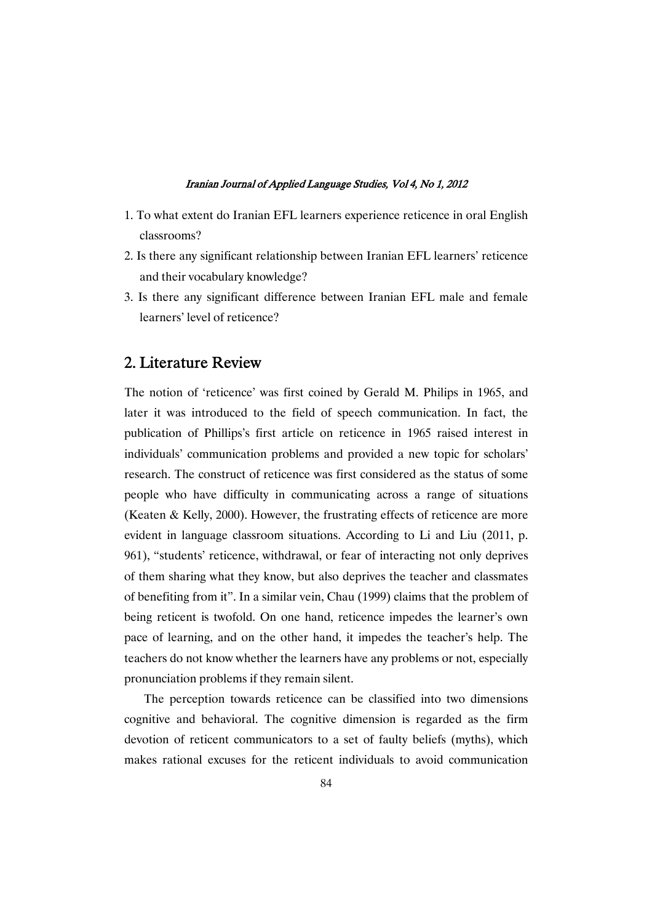- 1. To what extent do Iranian EFL learners experience reticence in oral English classrooms?
- 2. Is there any significant relationship between Iranian EFL learners' reticence and their vocabulary knowledge?
- 3. Is there any significant difference between Iranian EFL male and female learners' level of reticence?

### 2. Literature Review

The notion of 'reticence' was first coined by Gerald M. Philips in 1965, and later it was introduced to the field of speech communication. In fact, the publication of Phillips's first article on reticence in 1965 raised interest in individuals' communication problems and provided a new topic for scholars' research. The construct of reticence was first considered as the status of some people who have difficulty in communicating across a range of situations (Keaten & Kelly, 2000). However, the frustrating effects of reticence are more evident in language classroom situations. According to Li and Liu (2011, p. 961), "students' reticence, withdrawal, or fear of interacting not only deprives of them sharing what they know, but also deprives the teacher and classmates of benefiting from it". In a similar vein, Chau (1999) claims that the problem of being reticent is twofold. On one hand, reticence impedes the learner's own pace of learning, and on the other hand, it impedes the teacher's help. The teachers do not know whether the learners have any problems or not, especially pronunciation problems if they remain silent.

The perception towards reticence can be classified into two dimensions cognitive and behavioral. The cognitive dimension is regarded as the firm devotion of reticent communicators to a set of faulty beliefs (myths), which makes rational excuses for the reticent individuals to avoid communication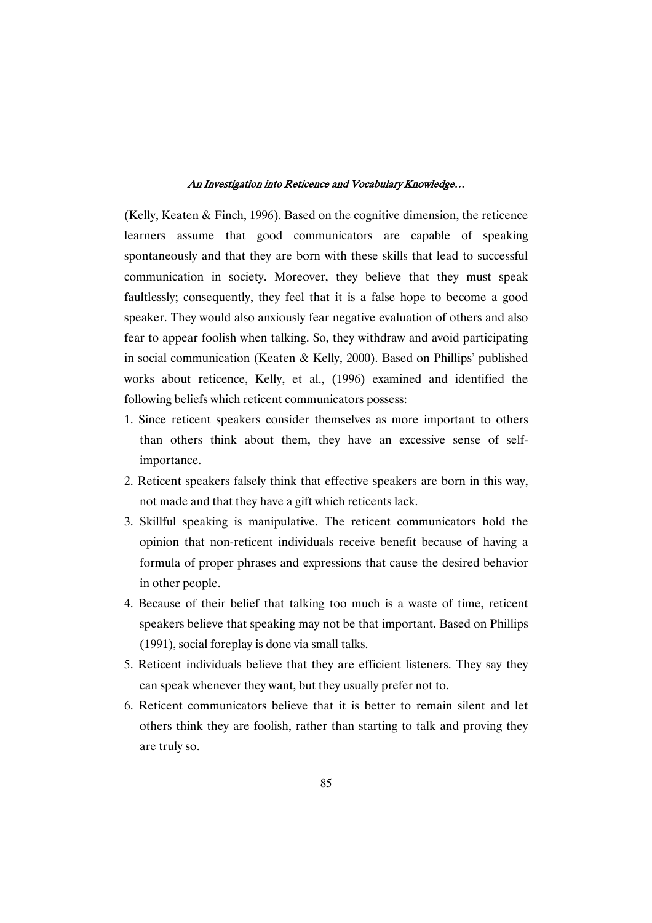(Kelly, Keaten & Finch, 1996). Based on the cognitive dimension, the reticence learners assume that good communicators are capable of speaking spontaneously and that they are born with these skills that lead to successful communication in society. Moreover, they believe that they must speak faultlessly; consequently, they feel that it is a false hope to become a good speaker. They would also anxiously fear negative evaluation of others and also fear to appear foolish when talking. So, they withdraw and avoid participating in social communication (Keaten & Kelly, 2000). Based on Phillips' published works about reticence, Kelly, et al., (1996) examined and identified the following beliefs which reticent communicators possess:

- 1. Since reticent speakers consider themselves as more important to others than others think about them, they have an excessive sense of selfimportance.
- 2. Reticent speakers falsely think that effective speakers are born in this way, not made and that they have a gift which reticents lack.
- 3. Skillful speaking is manipulative. The reticent communicators hold the opinion that non-reticent individuals receive benefit because of having a formula of proper phrases and expressions that cause the desired behavior in other people.
- 4. Because of their belief that talking too much is a waste of time, reticent speakers believe that speaking may not be that important. Based on Phillips (1991), social foreplay is done via small talks.
- 5. Reticent individuals believe that they are efficient listeners. They say they can speak whenever they want, but they usually prefer not to.
- 6. Reticent communicators believe that it is better to remain silent and let others think they are foolish, rather than starting to talk and proving they are truly so.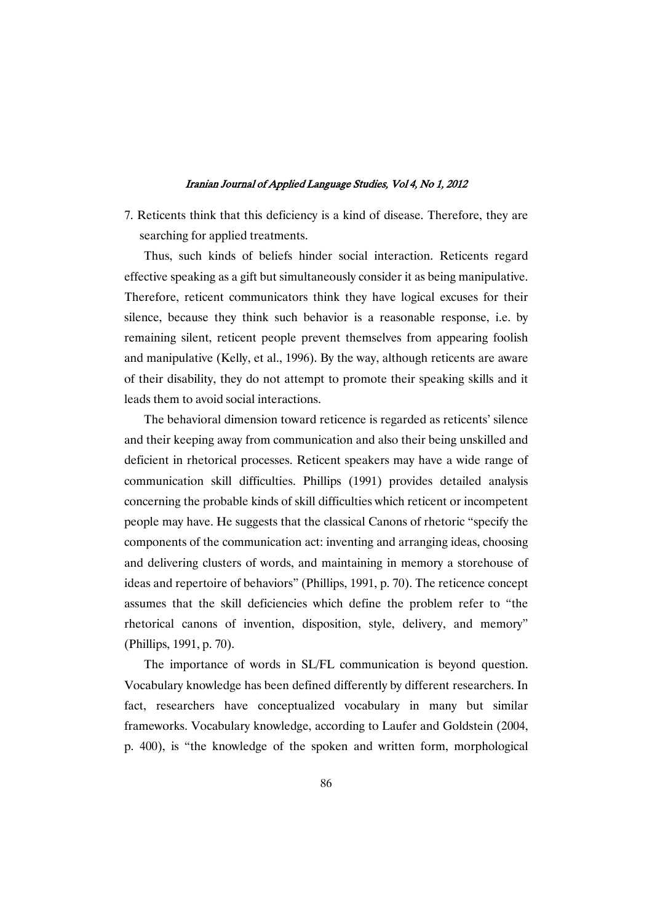7. Reticents think that this deficiency is a kind of disease. Therefore, they are searching for applied treatments.

Thus, such kinds of beliefs hinder social interaction. Reticents regard effective speaking as a gift but simultaneously consider it as being manipulative. Therefore, reticent communicators think they have logical excuses for their silence, because they think such behavior is a reasonable response, i.e. by remaining silent, reticent people prevent themselves from appearing foolish and manipulative (Kelly, et al., 1996). By the way, although reticents are aware of their disability, they do not attempt to promote their speaking skills and it leads them to avoid social interactions.

The behavioral dimension toward reticence is regarded as reticents' silence and their keeping away from communication and also their being unskilled and deficient in rhetorical processes. Reticent speakers may have a wide range of communication skill difficulties. Phillips (1991) provides detailed analysis concerning the probable kinds of skill difficulties which reticent or incompetent people may have. He suggests that the classical Canons of rhetoric "specify the components of the communication act: inventing and arranging ideas, choosing and delivering clusters of words, and maintaining in memory a storehouse of ideas and repertoire of behaviors" (Phillips, 1991, p. 70). The reticence concept assumes that the skill deficiencies which define the problem refer to "the rhetorical canons of invention, disposition, style, delivery, and memory" (Phillips, 1991, p. 70).

The importance of words in SL/FL communication is beyond question. Vocabulary knowledge has been defined differently by different researchers. In fact, researchers have conceptualized vocabulary in many but similar frameworks. Vocabulary knowledge, according to Laufer and Goldstein (2004, p. 400), is "the knowledge of the spoken and written form, morphological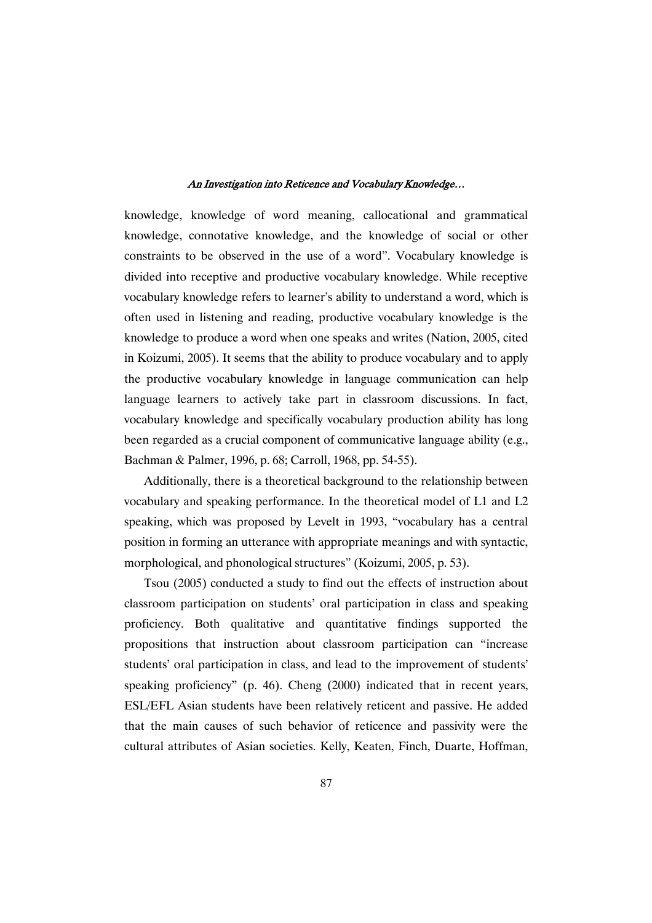knowledge, knowledge of word meaning, callocational and grammatical knowledge, connotative knowledge, and the knowledge of social or other constraints to be observed in the use of a word". Vocabulary knowledge is divided into receptive and productive vocabulary knowledge. While receptive vocabulary knowledge refers to learner's ability to understand a word, which is often used in listening and reading, productive vocabulary knowledge is the knowledge to produce a word when one speaks and writes (Nation, 2005, cited in Koizumi, 2005). It seems that the ability to produce vocabulary and to apply the productive vocabulary knowledge in language communication can help language learners to actively take part in classroom discussions. In fact, vocabulary knowledge and specifically vocabulary production ability has long been regarded as a crucial component of communicative language ability (e.g., Bachman & Palmer, 1996, p. 68; Carroll, 1968, pp. 54-55).

Additionally, there is a theoretical background to the relationship between vocabulary and speaking performance. In the theoretical model of L1 and L2 speaking, which was proposed by Levelt in 1993, "vocabulary has a central position in forming an utterance with appropriate meanings and with syntactic, morphological, and phonological structures" (Koizumi, 2005, p. 53).

Tsou (2005) conducted a study to find out the effects of instruction about classroom participation on students' oral participation in class and speaking proficiency. Both qualitative and quantitative findings supported the propositions that instruction about classroom participation can "increase students' oral participation in class, and lead to the improvement of students' speaking proficiency" (p. 46). Cheng (2000) indicated that in recent years, ESL/EFL Asian students have been relatively reticent and passive. He added that the main causes of such behavior of reticence and passivity were the cultural attributes of Asian societies. Kelly, Keaten, Finch, Duarte, Hoffman,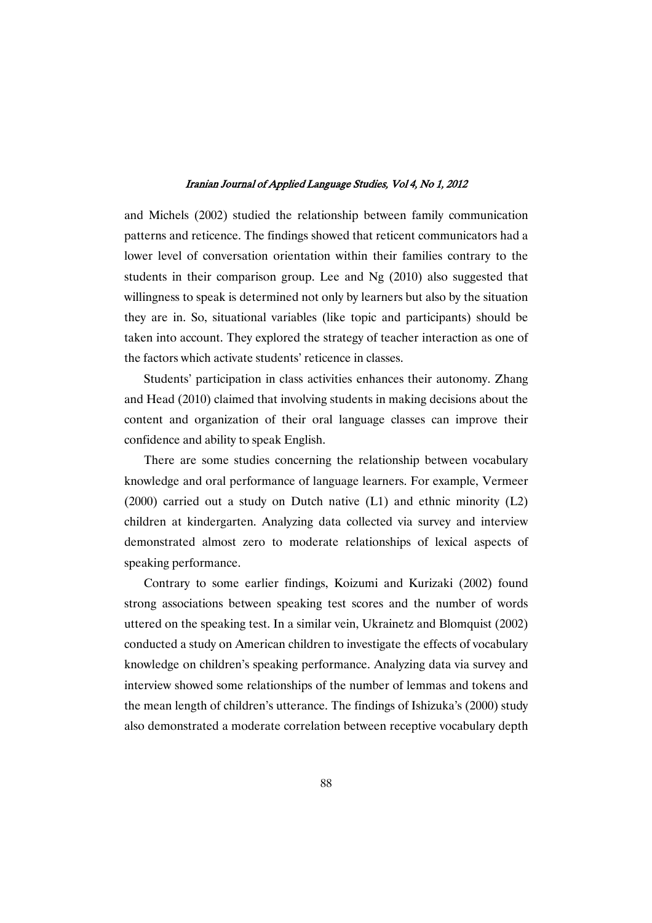and Michels (2002) studied the relationship between family communication patterns and reticence. The findings showed that reticent communicators had a lower level of conversation orientation within their families contrary to the students in their comparison group. Lee and Ng (2010) also suggested that willingness to speak is determined not only by learners but also by the situation they are in. So, situational variables (like topic and participants) should be taken into account. They explored the strategy of teacher interaction as one of the factors which activate students' reticence in classes.

Students' participation in class activities enhances their autonomy. Zhang and Head (2010) claimed that involving students in making decisions about the content and organization of their oral language classes can improve their confidence and ability to speak English.

There are some studies concerning the relationship between vocabulary knowledge and oral performance of language learners. For example, Vermeer (2000) carried out a study on Dutch native (L1) and ethnic minority (L2) children at kindergarten. Analyzing data collected via survey and interview demonstrated almost zero to moderate relationships of lexical aspects of speaking performance.

Contrary to some earlier findings, Koizumi and Kurizaki (2002) found strong associations between speaking test scores and the number of words uttered on the speaking test. In a similar vein, Ukrainetz and Blomquist (2002) conducted a study on American children to investigate the effects of vocabulary knowledge on children's speaking performance. Analyzing data via survey and interview showed some relationships of the number of lemmas and tokens and the mean length of children's utterance. The findings of Ishizuka's (2000) study also demonstrated a moderate correlation between receptive vocabulary depth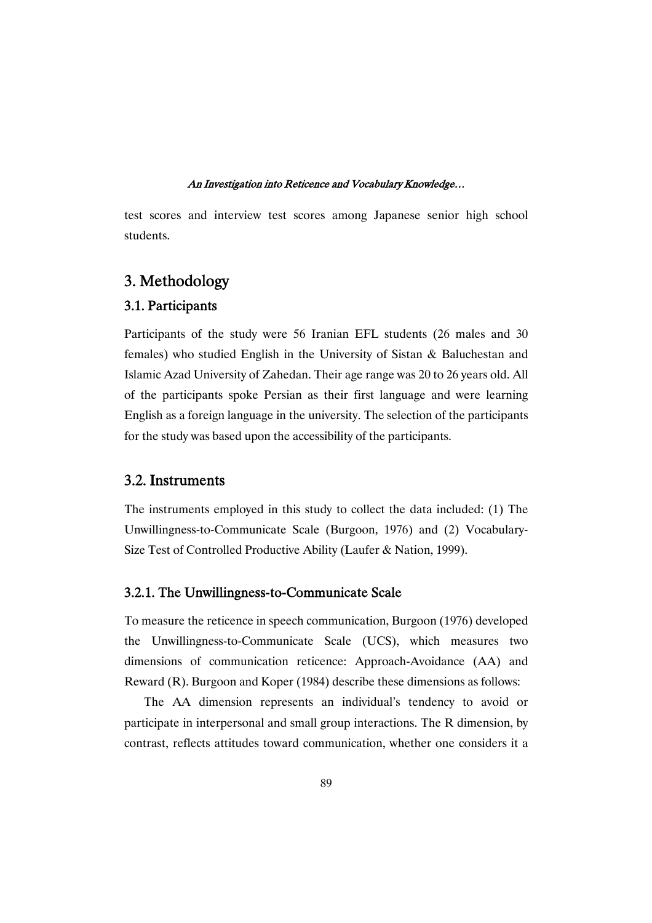test scores and interview test scores among Japanese senior high school students.

### 3.Methodology

### 3.1.Participants

Participants of the study were 56 Iranian EFL students (26 males and 30 females) who studied English in the University of Sistan & Baluchestan and Islamic Azad University of Zahedan. Their age range was 20 to 26 years old. All of the participants spoke Persian as their first language and were learning English as a foreign language in the university. The selection of the participants for the study was based upon the accessibility of the participants.

### 3.2.Instruments

The instruments employed in this study to collect the data included: (1) The Unwillingness-to-Communicate Scale (Burgoon, 1976) and (2) Vocabulary-Size Test of Controlled Productive Ability (Laufer & Nation, 1999).

#### 3.2.1. The Unwillingness-to-Communicate Scale

To measure the reticence in speech communication, Burgoon (1976) developed the Unwillingness-to-Communicate Scale (UCS), which measures two dimensions of communication reticence: Approach-Avoidance (AA) and Reward (R). Burgoon and Koper (1984) describe these dimensions as follows:

The AA dimension represents an individual's tendency to avoid or participate in interpersonal and small group interactions. The R dimension, by contrast, reflects attitudes toward communication, whether one considers it a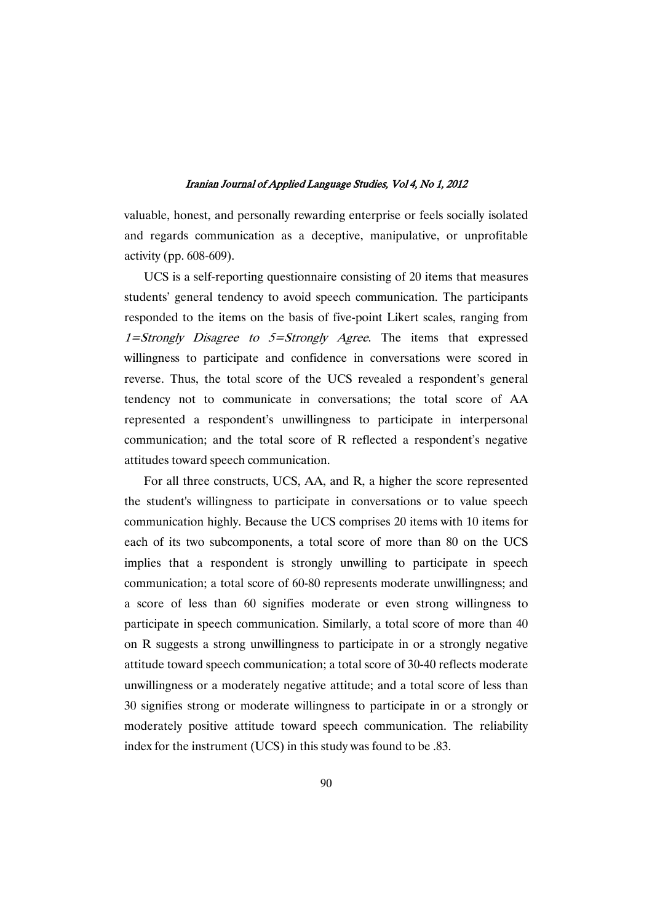valuable, honest, and personally rewarding enterprise or feels socially isolated and regards communication as a deceptive, manipulative, or unprofitable activity (pp. 608-609).

UCS is a self-reporting questionnaire consisting of 20 items that measures students' general tendency to avoid speech communication. The participants responded to the items on the basis of five-point Likert scales, ranging from  $1=$ Strongly Disagree to  $5=$ Strongly Agree. The items that expressed willingness to participate and confidence in conversations were scored in reverse. Thus, the total score of the UCS revealed a respondent's general tendency not to communicate in conversations; the total score of AA represented a respondent's unwillingness to participate in interpersonal communication; and the total score of R reflected a respondent's negative attitudes toward speech communication.

For all three constructs, UCS, AA, and R, a higher the score represented the student's willingness to participate in conversations or to value speech communication highly. Because the UCS comprises 20 items with 10 items for each of its two subcomponents, a total score of more than 80 on the UCS implies that a respondent is strongly unwilling to participate in speech communication; a total score of 60-80 represents moderate unwillingness; and a score of less than 60 signifies moderate or even strong willingness to participate in speech communication. Similarly, a total score of more than 40 on R suggests a strong unwillingness to participate in or a strongly negative attitude toward speech communication; a total score of 30-40 reflects moderate unwillingness or a moderately negative attitude; and a total score of less than 30 signifies strong or moderate willingness to participate in or a strongly or moderately positive attitude toward speech communication. The reliability index for the instrument (UCS) in this study was found to be .83.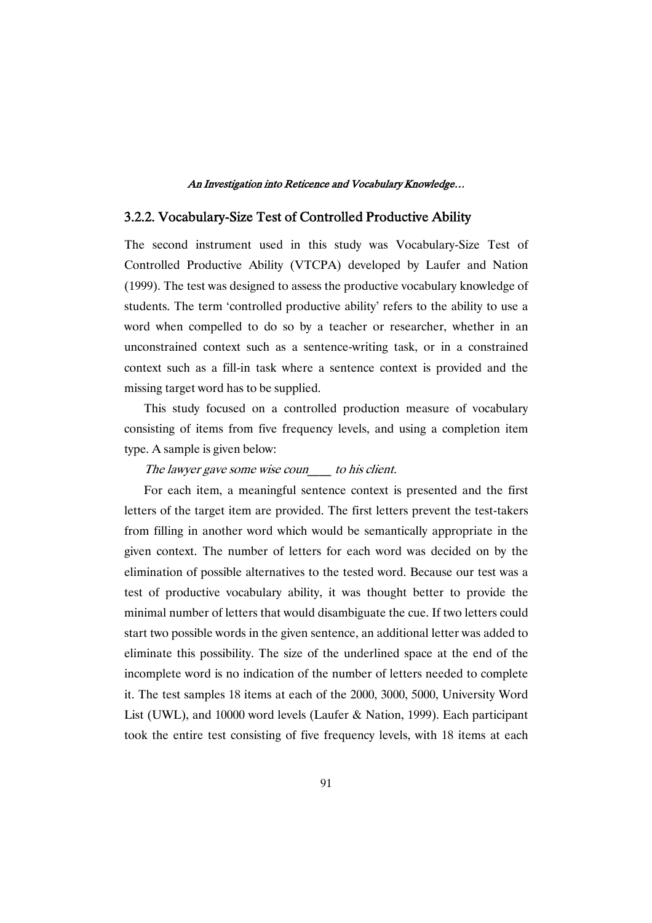### 3.2.2. Vocabulary-Size Test of Controlled Productive Ability

The second instrument used in this study was Vocabulary-Size Test of Controlled Productive Ability (VTCPA) developed by Laufer and Nation (1999). The test was designed to assess the productive vocabulary knowledge of students. The term 'controlled productive ability' refers to the ability to use a word when compelled to do so by a teacher or researcher, whether in an unconstrained context such as a sentence-writing task, or in a constrained context such as a fill-in task where a sentence context is provided and the missing target word has to be supplied.

This study focused on a controlled production measure of vocabulary consisting of items from five frequency levels, and using a completion item type. A sample is given below:

The lawyer gave some wise coun to his client.

For each item, a meaningful sentence context is presented and the first letters of the target item are provided. The first letters prevent the test-takers from filling in another word which would be semantically appropriate in the given context. The number of letters for each word was decided on by the elimination of possible alternatives to the tested word. Because our test was a test of productive vocabulary ability, it was thought better to provide the minimal number of letters that would disambiguate the cue. If two letters could start two possible words in the given sentence, an additional letter was added to eliminate this possibility. The size of the underlined space at the end of the incomplete word is no indication of the number of letters needed to complete it. The test samples 18 items at each of the 2000, 3000, 5000, University Word List (UWL), and 10000 word levels (Laufer & Nation, 1999). Each participant took the entire test consisting of five frequency levels, with 18 items at each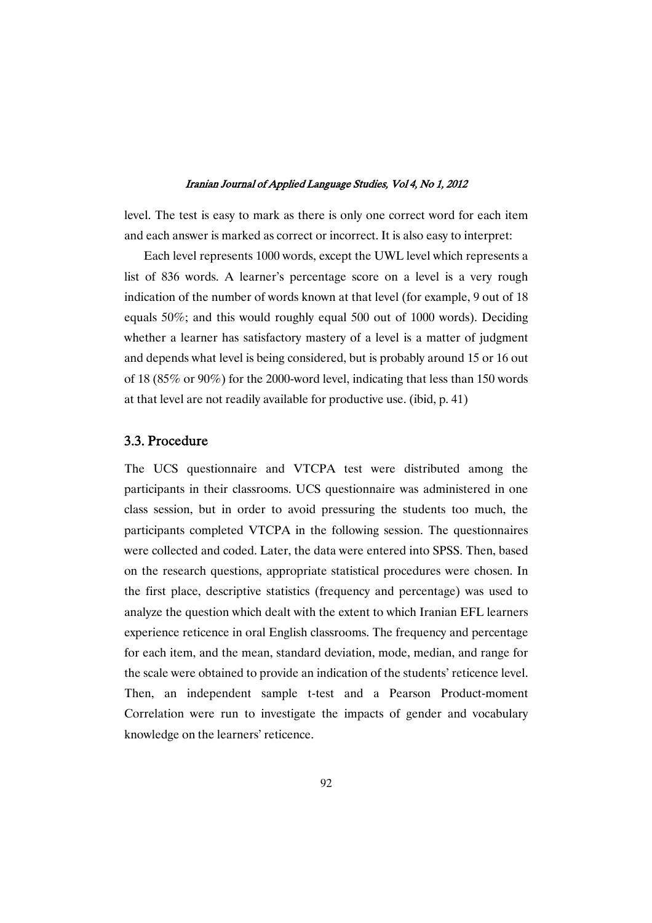level. The test is easy to mark as there is only one correct word for each item and each answer is marked as correct or incorrect. It is also easy to interpret:

Each level represents 1000 words, except the UWL level which represents a list of 836 words. A learner's percentage score on a level is a very rough indication of the number of words known at that level (for example, 9 out of 18 equals 50%; and this would roughly equal 500 out of 1000 words). Deciding whether a learner has satisfactory mastery of a level is a matter of judgment and depends what level is being considered, but is probably around 15 or 16 out of 18 (85% or 90%) for the 2000-word level, indicating that less than 150 words at that level are not readily available for productive use. (ibid, p. 41)

### 3.3.Procedure

The UCS questionnaire and VTCPA test were distributed among the participants in their classrooms. UCS questionnaire was administered in one class session, but in order to avoid pressuring the students too much, the participants completed VTCPA in the following session. The questionnaires were collected and coded. Later, the data were entered into SPSS. Then, based on the research questions, appropriate statistical procedures were chosen. In the first place, descriptive statistics (frequency and percentage) was used to analyze the question which dealt with the extent to which Iranian EFL learners experience reticence in oral English classrooms. The frequency and percentage for each item, and the mean, standard deviation, mode, median, and range for the scale were obtained to provide an indication of the students' reticence level. Then, an independent sample t-test and a Pearson Product-moment Correlation were run to investigate the impacts of gender and vocabulary knowledge on the learners' reticence.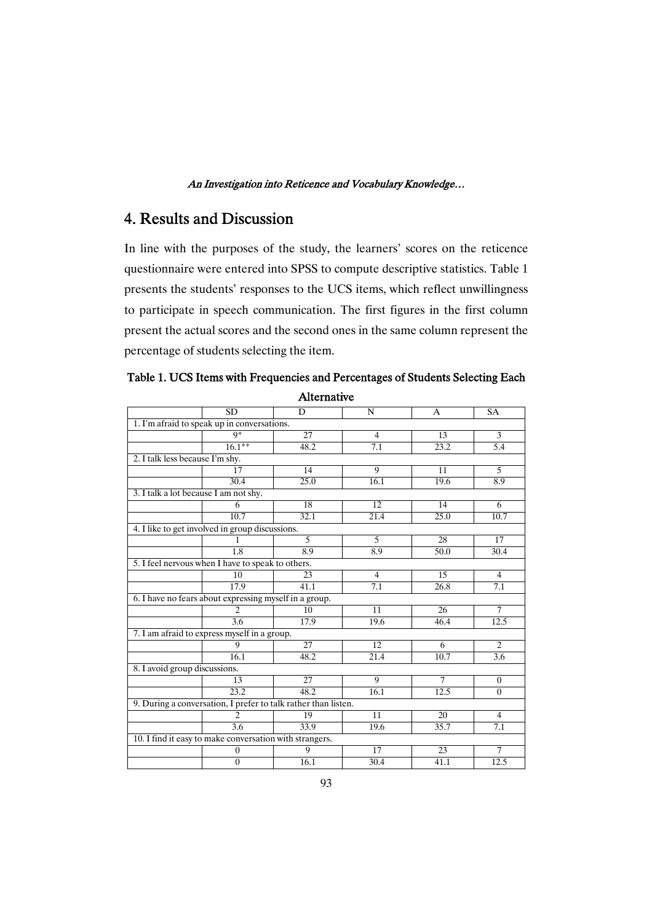## 4. Results and Discussion

In line with the purposes of the study, the learners' scores on the reticence questionnaire were entered into SPSS to compute descriptive statistics. Table 1 presents the students' responses to the UCS items, which reflect unwillingness to participate in speech communication. The first figures in the first column present the actual scores and the second ones in the same column represent the percentage of students selecting the item.

| Alternative                                                    |                                                         |                 |                   |                 |                |  |  |  |
|----------------------------------------------------------------|---------------------------------------------------------|-----------------|-------------------|-----------------|----------------|--|--|--|
|                                                                | <b>SD</b>                                               | D               | N                 | A               | <b>SA</b>      |  |  |  |
| 1. I'm afraid to speak up in conversations.                    |                                                         |                 |                   |                 |                |  |  |  |
|                                                                | $\mathbf{Q}^*$                                          | $\overline{27}$ | $\overline{4}$    | 13              | $\overline{3}$ |  |  |  |
|                                                                | $16.1***$                                               | 48.2            | 7.1               | 23.2            | 5.4            |  |  |  |
| 2. I talk less because I'm shy.                                |                                                         |                 |                   |                 |                |  |  |  |
|                                                                | 17                                                      | 14              | 9                 | 11              | 5              |  |  |  |
|                                                                | 30.4                                                    | 25.0            | 16.1              | 19.6            | 8.9            |  |  |  |
| 3. I talk a lot because I am not shy.                          |                                                         |                 |                   |                 |                |  |  |  |
|                                                                | 6                                                       | 18              | 12                | 14              | 6              |  |  |  |
|                                                                | 10.7                                                    | 32.1            | $\overline{21.4}$ | 25.0            | 10.7           |  |  |  |
|                                                                | 4. I like to get involved in group discussions.         |                 |                   |                 |                |  |  |  |
|                                                                | 1                                                       | $\overline{5}$  | $\overline{5}$    | 28              | 17             |  |  |  |
|                                                                | 1.8                                                     | 8.9             | 8.9               | 50.0            | 30.4           |  |  |  |
|                                                                | 5. I feel nervous when I have to speak to others.       |                 |                   |                 |                |  |  |  |
|                                                                | $\overline{10}$                                         | 23              | $\overline{4}$    | $\overline{15}$ | $\overline{4}$ |  |  |  |
|                                                                | 17.9                                                    | 41.1            | 7.1               | 26.8            | 7.1            |  |  |  |
|                                                                | 6. I have no fears about expressing myself in a group.  |                 |                   |                 |                |  |  |  |
|                                                                | $\mathcal{D}_{\alpha}$                                  | 10              | $\overline{11}$   | 26              | 7              |  |  |  |
|                                                                | 3.6                                                     | 17.9            | 19.6              | 46.4            | 12.5           |  |  |  |
|                                                                | 7. I am afraid to express myself in a group.            |                 |                   |                 |                |  |  |  |
|                                                                | $\mathbf Q$                                             | 27              | 12                | 6               | $\overline{c}$ |  |  |  |
|                                                                | 16.1                                                    | 48.2            | 21.4              | 10.7            | 3.6            |  |  |  |
| 8. I avoid group discussions.                                  |                                                         |                 |                   |                 |                |  |  |  |
|                                                                | 13                                                      | 27              | $\overline{Q}$    | $\overline{7}$  | $\mathbf{0}$   |  |  |  |
|                                                                | 23.2                                                    | 48.2            | 16.1              | 12.5            | $\theta$       |  |  |  |
| 9. During a conversation, I prefer to talk rather than listen. |                                                         |                 |                   |                 |                |  |  |  |
|                                                                | $\overline{c}$                                          | 19              | $\overline{11}$   | $\overline{20}$ | $\overline{4}$ |  |  |  |
|                                                                | 3.6                                                     | 33.9            | 19.6              | 35.7            | 7.1            |  |  |  |
|                                                                | 10. I find it easy to make conversation with strangers. |                 |                   |                 |                |  |  |  |
|                                                                | $\Omega$                                                | 9               | $\overline{17}$   | 23              | 7              |  |  |  |
|                                                                | $\boldsymbol{0}$                                        | 16.1            | 30.4              | 41.1            | 12.5           |  |  |  |
|                                                                |                                                         |                 |                   |                 |                |  |  |  |

Table 1. UCS Items with Frequencies and Percentages of Students Selecting Each Alternative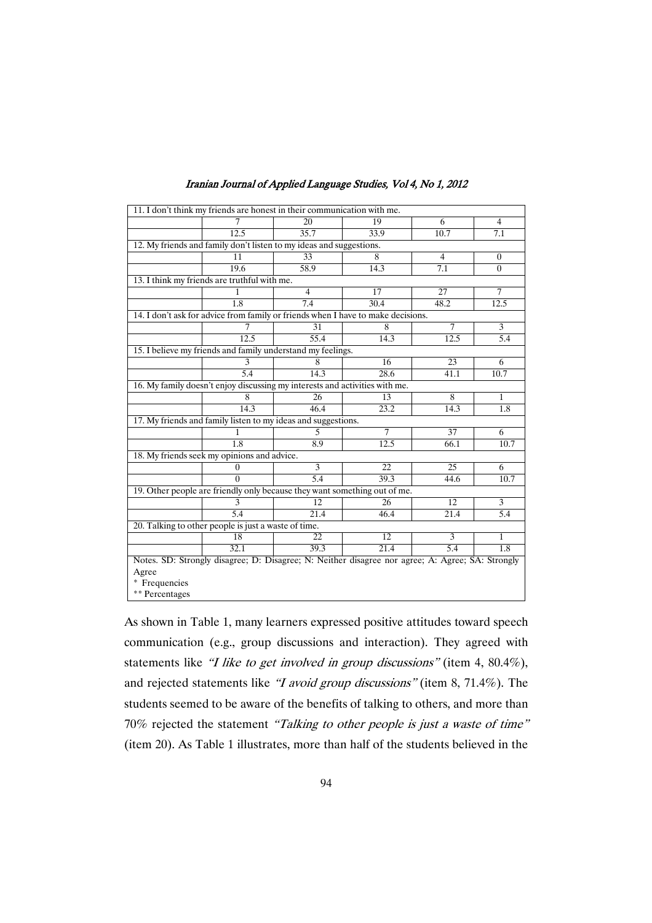|                                                      |                                              | 11. I don't think my friends are honest in their communication with me.                          |                   |                 |                  |
|------------------------------------------------------|----------------------------------------------|--------------------------------------------------------------------------------------------------|-------------------|-----------------|------------------|
|                                                      | 7                                            | 20                                                                                               | 19                | 6               | 4                |
|                                                      | 12.5                                         | 35.7                                                                                             | 33.9              | 10.7            | 7.1              |
|                                                      |                                              | 12. My friends and family don't listen to my ideas and suggestions.                              |                   |                 |                  |
|                                                      | 11                                           | 33                                                                                               | 8                 | 4               | $\boldsymbol{0}$ |
|                                                      | 19.6                                         | 58.9                                                                                             | $14.\overline{3}$ | 7.1             | $\theta$         |
|                                                      | 13. I think my friends are truthful with me. |                                                                                                  |                   |                 |                  |
|                                                      |                                              | $\overline{4}$                                                                                   | 17                | 27              | $\overline{7}$   |
|                                                      | 1.8                                          | 7.4                                                                                              | 30.4              | 48.2            | 12.5             |
|                                                      |                                              | 14. I don't ask for advice from family or friends when I have to make decisions.                 |                   |                 |                  |
|                                                      | 7                                            | $\overline{31}$                                                                                  | 8                 | 7               | $\overline{3}$   |
|                                                      | 12.5                                         | $\overline{55.4}$                                                                                | 14.3              | 12.5            | 5.4              |
|                                                      |                                              | 15. I believe my friends and family understand my feelings.                                      |                   |                 |                  |
|                                                      | 3                                            | 8                                                                                                | 16                | 23              | 6                |
|                                                      | 5.4                                          | 14.3                                                                                             | 28.6              | 41.1            | 10.7             |
|                                                      |                                              | 16. My family doesn't enjoy discussing my interests and activities with me.                      |                   |                 |                  |
|                                                      | 8                                            | 26                                                                                               | 13                | 8               | 1                |
|                                                      | 14.3                                         | 46.4                                                                                             | 23.2              | 14.3            | 1.8              |
|                                                      |                                              | 17. My friends and family listen to my ideas and suggestions.                                    |                   |                 |                  |
|                                                      |                                              | 5.                                                                                               | 7                 | 37              | 6                |
|                                                      | 1.8                                          | 8.9                                                                                              | 12.5              | 66.1            | 10.7             |
|                                                      | 18. My friends seek my opinions and advice.  |                                                                                                  |                   |                 |                  |
|                                                      | $\theta$                                     | $\overline{3}$                                                                                   | $\overline{22}$   | $\overline{25}$ | 6                |
|                                                      | 0                                            | $\overline{5.4}$                                                                                 | 39.3              | 44.6            | 10.7             |
|                                                      |                                              | 19. Other people are friendly only because they want something out of me.                        |                   |                 |                  |
|                                                      | 3                                            | 12                                                                                               | 26                | 12              | 3                |
|                                                      | 5.4                                          | 21.4                                                                                             | 46.4              | 21.4            | 5.4              |
| 20. Talking to other people is just a waste of time. |                                              |                                                                                                  |                   |                 |                  |
|                                                      | 18                                           | 22                                                                                               | 12                | 3               | 1                |
|                                                      | 32.1                                         | 39.3                                                                                             | 21.4              | 5.4             | $\overline{1.8}$ |
|                                                      |                                              | Notes. SD: Strongly disagree; D: Disagree; N: Neither disagree nor agree; A: Agree; SA: Strongly |                   |                 |                  |
| Agree                                                |                                              |                                                                                                  |                   |                 |                  |
| * Frequencies                                        |                                              |                                                                                                  |                   |                 |                  |
| ** Percentages                                       |                                              |                                                                                                  |                   |                 |                  |

As shown in Table 1, many learners expressed positive attitudes toward speech communication (e.g., group discussions and interaction). They agreed with statements like "I like to get involved in group discussions" (item 4, 80.4%), and rejected statements like "I avoid group discussions" (item 8, 71.4%). The students seemed to be aware of the benefits of talking to others, and more than 70% rejected the statement "Talking to other people is just <sup>a</sup> waste of time" (item 20). As Table 1 illustrates, more than half of the students believed in the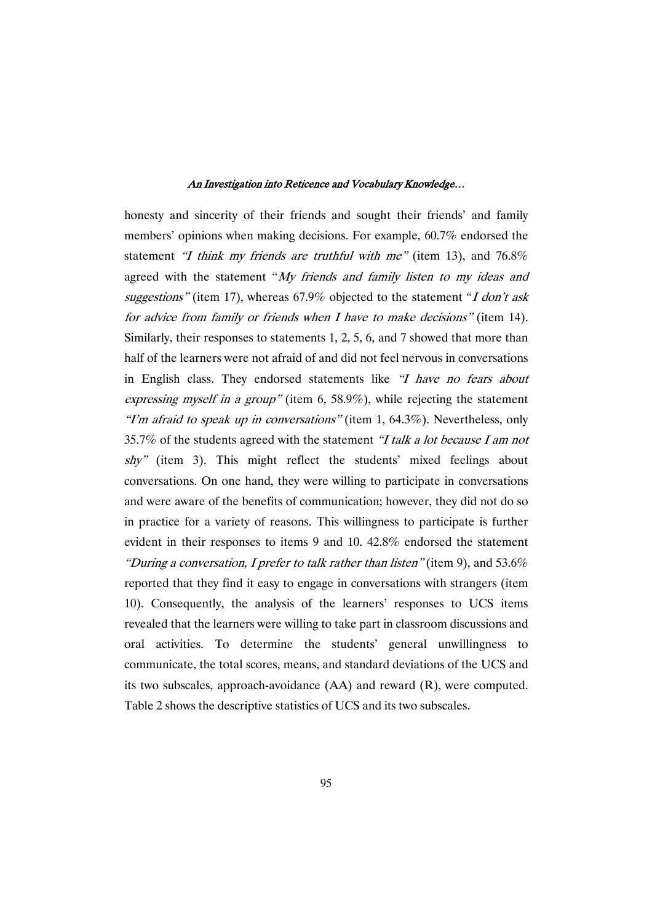honesty and sincerity of their friends and sought their friends' and family members' opinions when making decisions. For example, 60.7% endorsed the statement "I think my friends are truthful with me" (item 13), and 76.8% agreed with the statement "My friends and family listen to my ideas and suggestions" (item 17), whereas  $67.9\%$  objected to the statement "I don't ask for advice from family or friends when <sup>I</sup> have to make decisions" (item 14). Similarly, their responses to statements 1, 2, 5, 6, and 7 showed that more than half of the learners were not afraid of and did not feel nervous in conversations in English class. They endorsed statements like "I have no fears about expressing myself in <sup>a</sup> group" (item 6, 58.9%), while rejecting the statement "I'm afraid to speak up in conversations" (item 1,  $64.3\%$ ). Nevertheless, only 35.7% of the students agreed with the statement "I talk a lot because I am not  $shy''$  (item 3). This might reflect the students' mixed feelings about conversations. On one hand, they were willing to participate in conversations and were aware of the benefits of communication; however, they did not do so in practice for a variety of reasons. This willingness to participate is further evident in their responses to items 9 and 10. 42.8% endorsed the statement "During a conversation, I prefer to talk rather than listen" (item 9), and 53.6% reported that they find it easy to engage in conversations with strangers (item 10). Consequently, the analysis of the learners' responses to UCS items revealed that the learners were willing to take part in classroom discussions and oral activities. To determine the students' general unwillingness to communicate, the total scores, means, and standard deviations of the UCS and its two subscales, approach-avoidance (AA) and reward (R), were computed. Table 2 shows the descriptive statistics of UCS and its two subscales.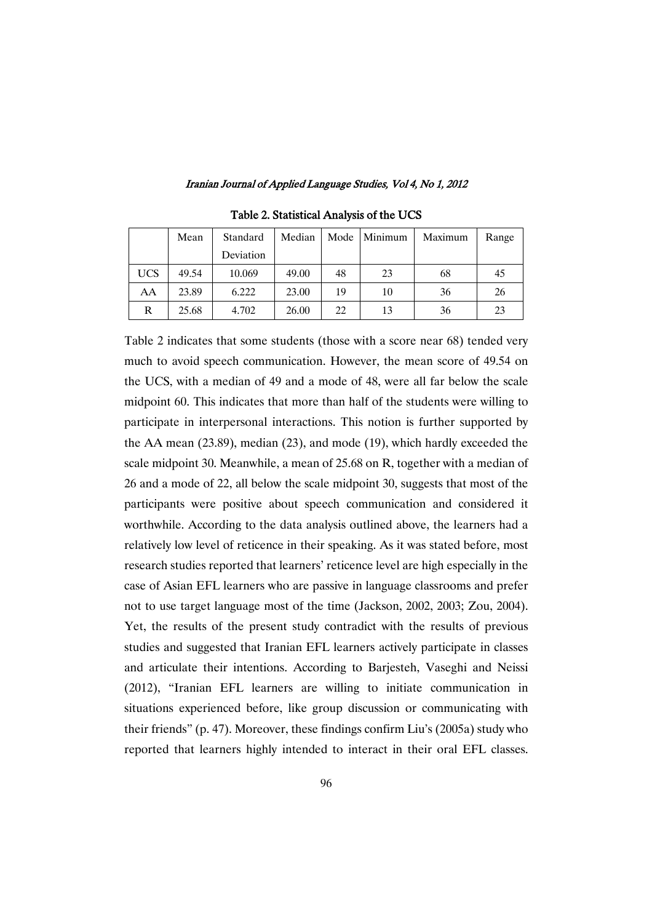|            | Mean  | Standard  | Median | Mode | Minimum | Maximum | Range |
|------------|-------|-----------|--------|------|---------|---------|-------|
|            |       | Deviation |        |      |         |         |       |
| <b>UCS</b> | 49.54 | 10.069    | 49.00  | 48   | 23      | 68      | 45    |
| AA         | 23.89 | 6.222     | 23.00  | 19   | 10      | 36      | 26    |
| R          | 25.68 | 4.702     | 26.00  | 22   | 13      | 36      | 23    |

Table 2. Statistical Analysis of the UCS

Table 2 indicates that some students (those with a score near 68) tended very much to avoid speech communication. However, the mean score of 49.54 on the UCS, with a median of 49 and a mode of 48, were all far below the scale midpoint 60. This indicates that more than half of the students were willing to participate in interpersonal interactions. This notion is further supported by the AA mean (23.89), median (23), and mode (19), which hardly exceeded the scale midpoint 30. Meanwhile, a mean of 25.68 on R, together with a median of 26 and a mode of 22, all below the scale midpoint 30, suggests that most of the participants were positive about speech communication and considered it worthwhile. According to the data analysis outlined above, the learners had a relatively low level of reticence in their speaking. As it was stated before, most research studies reported that learners' reticence level are high especially in the case of Asian EFL learners who are passive in language classrooms and prefer not to use target language most of the time (Jackson, 2002, 2003; Zou, 2004). Yet, the results of the present study contradict with the results of previous studies and suggested that Iranian EFL learners actively participate in classes and articulate their intentions. According to Barjesteh, Vaseghi and Neissi (2012), "Iranian EFL learners are willing to initiate communication in situations experienced before, like group discussion or communicating with their friends" (p. 47). Moreover, these findings confirm Liu's (2005a) study who reported that learners highly intended to interact in their oral EFL classes.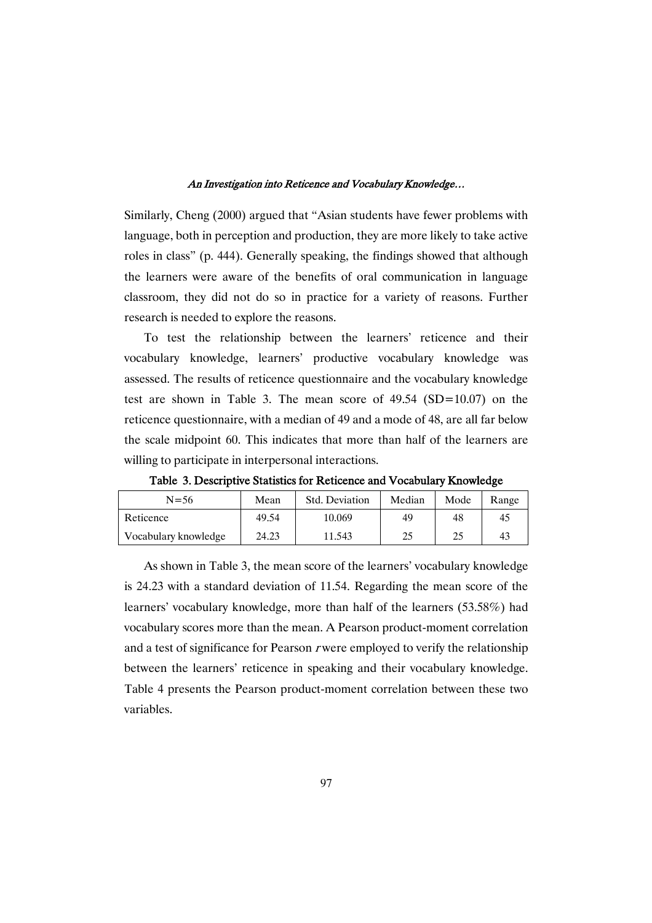Similarly, Cheng (2000) argued that "Asian students have fewer problems with language, both in perception and production, they are more likely to take active roles in class" (p. 444). Generally speaking, the findings showed that although the learners were aware of the benefits of oral communication in language classroom, they did not do so in practice for a variety of reasons. Further research is needed to explore the reasons.

To test the relationship between the learners' reticence and their vocabulary knowledge, learners' productive vocabulary knowledge was assessed. The results of reticence questionnaire and the vocabulary knowledge test are shown in Table 3. The mean score of 49.54 (SD=10.07) on the reticence questionnaire, with a median of 49 and a mode of 48, are all far below the scale midpoint 60. This indicates that more than half of the learners are willing to participate in interpersonal interactions.

| $N = 56$             | Std. Deviation<br>Mean |        | Median | Mode | Range |
|----------------------|------------------------|--------|--------|------|-------|
| Reticence            | 49.54                  | 10.069 | 49     | 48   | 45    |
| Vocabulary knowledge | 24.23                  | 11.543 | 25     | 25   | 43    |

Table 3. Descriptive Statistics for Reticence and Vocabulary Knowledge

As shown in Table 3, the mean score of the learners' vocabulary knowledge is 24.23 with a standard deviation of 11.54. Regarding the mean score of the learners' vocabulary knowledge, more than half of the learners (53.58%) had vocabulary scores more than the mean. A Pearson product-moment correlation and a test of significance for Pearson <sup>r</sup> were employed to verify the relationship between the learners' reticence in speaking and their vocabulary knowledge. Table 4 presents the Pearson product-moment correlation between these two variables.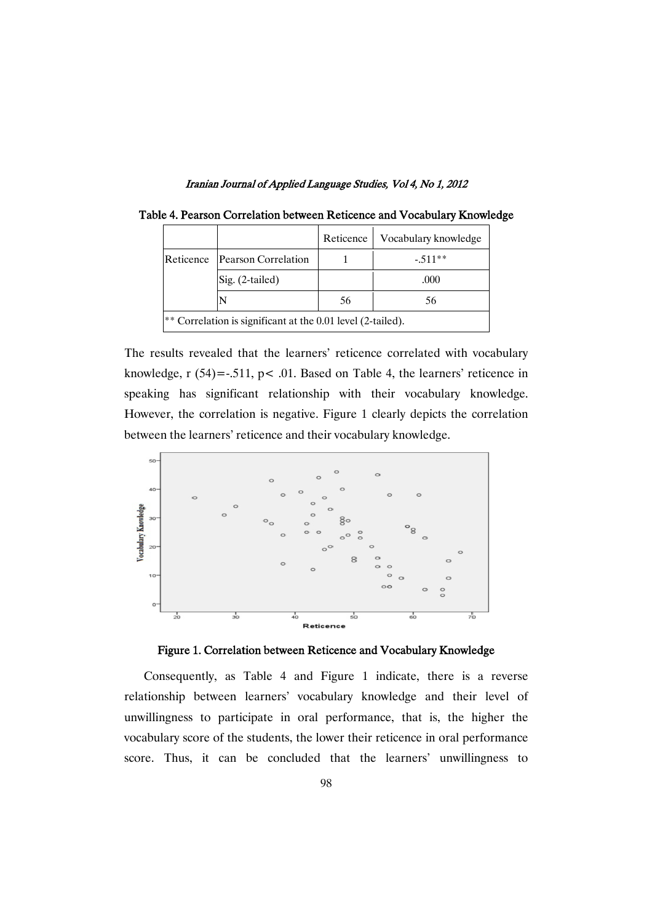|                                                             |                     | Reticence | Vocabulary knowledge |  |  |  |  |  |
|-------------------------------------------------------------|---------------------|-----------|----------------------|--|--|--|--|--|
| Reticence                                                   | Pearson Correlation |           | $-.511**$            |  |  |  |  |  |
|                                                             | $Sig. (2-tailed)$   |           | .000                 |  |  |  |  |  |
|                                                             |                     | 56        | 56                   |  |  |  |  |  |
| ** Correlation is significant at the 0.01 level (2-tailed). |                     |           |                      |  |  |  |  |  |

| Table 4. Pearson Correlation between Reticence and Vocabulary Knowledge |  |  |  |
|-------------------------------------------------------------------------|--|--|--|
|-------------------------------------------------------------------------|--|--|--|

The results revealed that the learners' reticence correlated with vocabulary knowledge,  $r(54) = -0.511$ ,  $p < 0.01$ . Based on Table 4, the learners' reticence in speaking has significant relationship with their vocabulary knowledge. However, the correlation is negative. Figure 1 clearly depicts the correlation between the learners' reticence and their vocabulary knowledge.



Figure 1. Correlation between Reticence and Vocabulary Knowledge

Consequently, as Table 4 and Figure 1 indicate, there is a reverse relationship between learners' vocabulary knowledge and their level of unwillingness to participate in oral performance, that is, the higher the vocabulary score of the students, the lower their reticence in oral performance score. Thus, it can be concluded that the learners' unwillingness to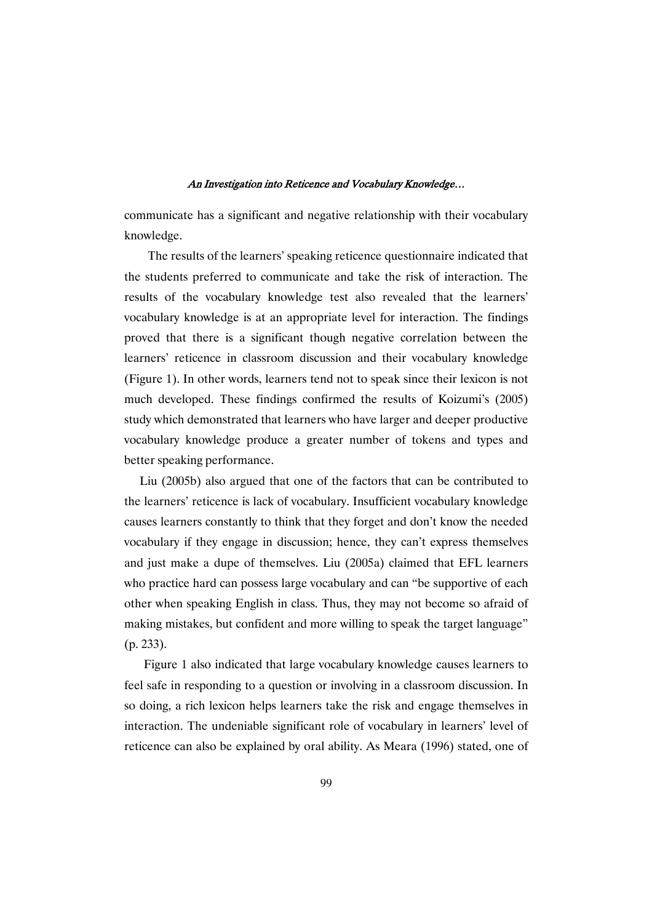communicate has a significant and negative relationship with their vocabulary knowledge.

The results of the learners' speaking reticence questionnaire indicated that the students preferred to communicate and take the risk of interaction. The results of the vocabulary knowledge test also revealed that the learners' vocabulary knowledge is at an appropriate level for interaction. The findings proved that there is a significant though negative correlation between the learners' reticence in classroom discussion and their vocabulary knowledge (Figure 1). In other words, learners tend not to speak since their lexicon is not much developed. These findings confirmed the results of Koizumi's (2005) study which demonstrated that learners who have larger and deeper productive vocabulary knowledge produce a greater number of tokens and types and better speaking performance.

Liu (2005b) also argued that one of the factors that can be contributed to the learners' reticence is lack of vocabulary. Insufficient vocabulary knowledge causes learners constantly to think that they forget and don't know the needed vocabulary if they engage in discussion; hence, they can't express themselves and just make a dupe of themselves. Liu (2005a) claimed that EFL learners who practice hard can possess large vocabulary and can "be supportive of each other when speaking English in class. Thus, they may not become so afraid of making mistakes, but confident and more willing to speak the target language" (p. 233).

Figure 1 also indicated that large vocabulary knowledge causes learners to feel safe in responding to a question or involving in a classroom discussion. In so doing, a rich lexicon helps learners take the risk and engage themselves in interaction. The undeniable significant role of vocabulary in learners' level of reticence can also be explained by oral ability. As Meara (1996) stated, one of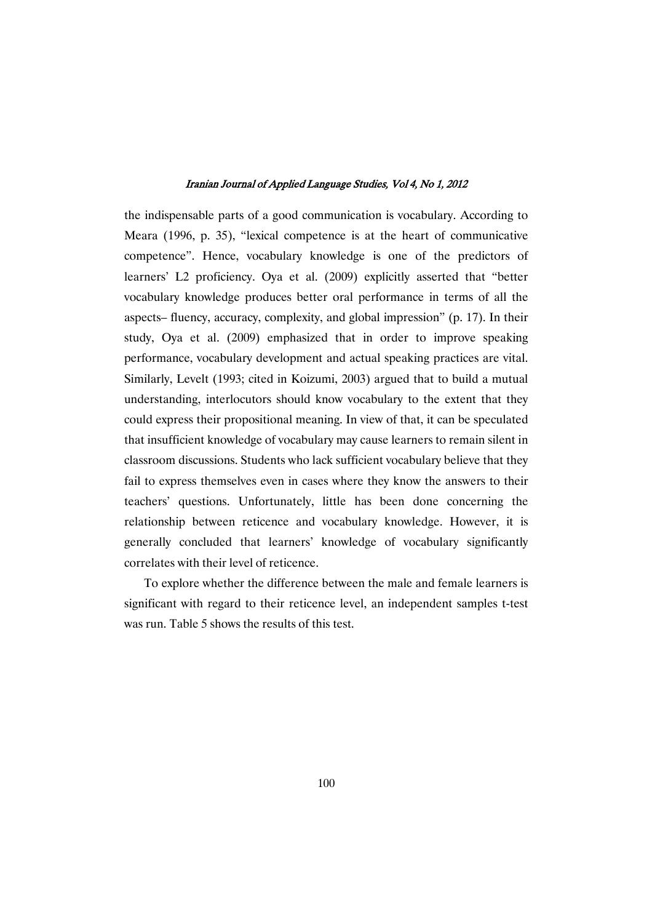the indispensable parts of a good communication is vocabulary. According to Meara (1996, p. 35), "lexical competence is at the heart of communicative competence". Hence, vocabulary knowledge is one of the predictors of learners' L2 proficiency. Oya et al. (2009) explicitly asserted that "better vocabulary knowledge produces better oral performance in terms of all the aspects– fluency, accuracy, complexity, and global impression" (p. 17). In their study, Oya et al. (2009) emphasized that in order to improve speaking performance, vocabulary development and actual speaking practices are vital. Similarly, Levelt (1993; cited in Koizumi, 2003) argued that to build a mutual understanding, interlocutors should know vocabulary to the extent that they could express their propositional meaning. In view of that, it can be speculated that insufficient knowledge of vocabulary may cause learners to remain silent in classroom discussions. Students who lack sufficient vocabulary believe that they fail to express themselves even in cases where they know the answers to their teachers' questions. Unfortunately, little has been done concerning the relationship between reticence and vocabulary knowledge. However, it is generally concluded that learners' knowledge of vocabulary significantly correlates with their level of reticence.

To explore whether the difference between the male and female learners is significant with regard to their reticence level, an independent samples t-test was run. Table 5 shows the results of this test.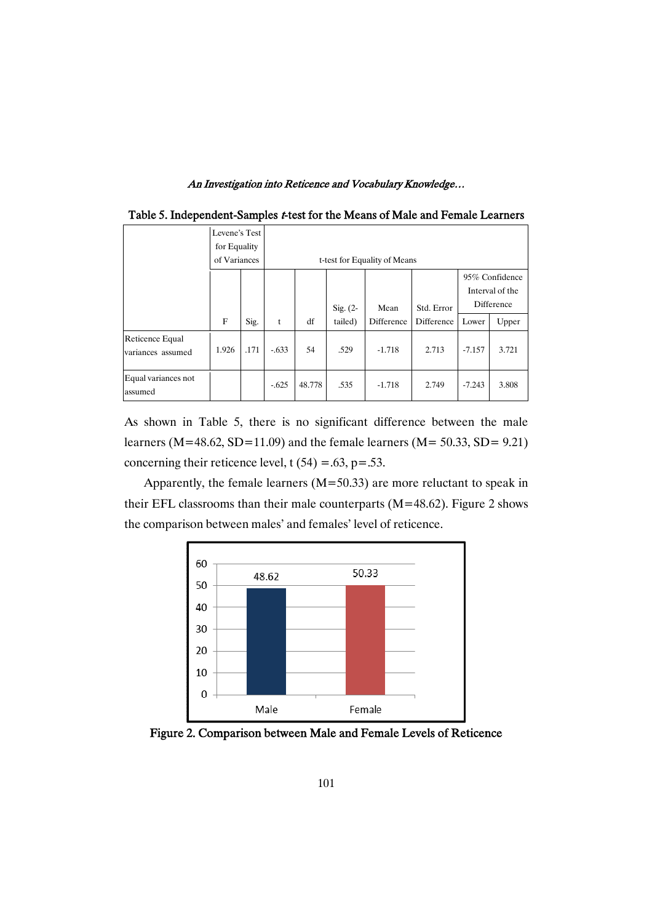| л.                                   |                                               |      |                              |        |             |            |            |          |                                                 |
|--------------------------------------|-----------------------------------------------|------|------------------------------|--------|-------------|------------|------------|----------|-------------------------------------------------|
|                                      | Levene's Test<br>for Equality<br>of Variances |      | t-test for Equality of Means |        |             |            |            |          |                                                 |
|                                      |                                               |      |                              |        | Sig. $(2 -$ | Mean       | Std. Error |          | 95% Confidence<br>Interval of the<br>Difference |
|                                      | $_{\rm F}$                                    | Sig. | t                            | df     | tailed)     | Difference | Difference | Lower    | Upper                                           |
| Reticence Equal<br>variances assumed | 1.926                                         | .171 | $-.633$                      | 54     | .529        | $-1.718$   | 2.713      | $-7.157$ | 3.721                                           |
| Equal variances not<br>assumed       |                                               |      | $-.625$                      | 48.778 | .535        | $-1.718$   | 2.749      | $-7.243$ | 3.808                                           |

Table 5. Independent-Samples t-test for the Means of Male and Female Learners

As shown in Table 5, there is no significant difference between the male learners ( $M=48.62$ ,  $SD=11.09$ ) and the female learners ( $M=50.33$ ,  $SD= 9.21$ ) concerning their reticence level,  $t(54) = .63$ ,  $p = .53$ .

Apparently, the female learners  $(M=50.33)$  are more reluctant to speak in their EFL classrooms than their male counterparts ( $M=48.62$ ). Figure 2 shows the comparison between males' and females' level of reticence.



Figure 2. Comparison between Male and Female Levels of Reticence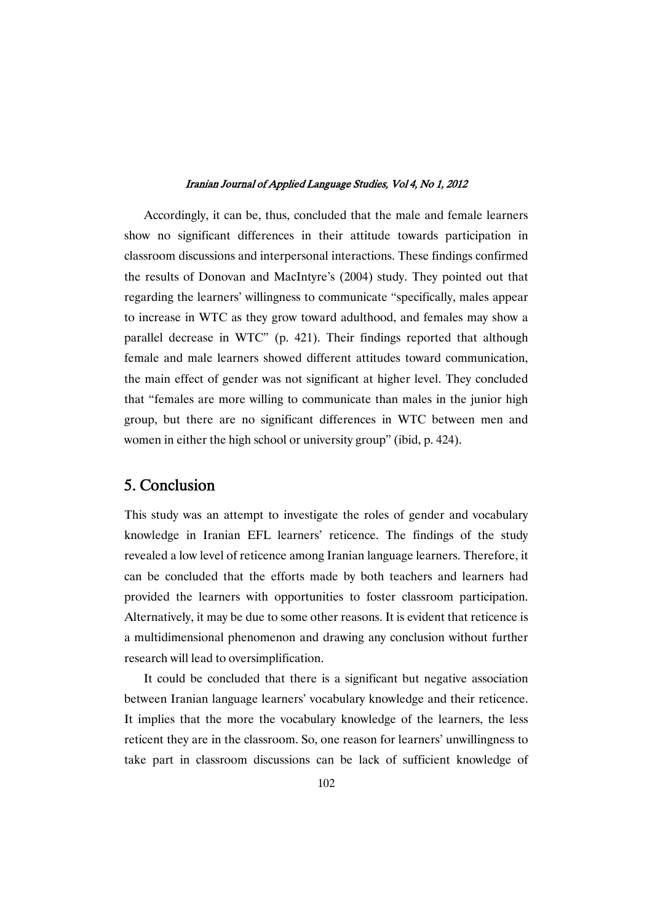Accordingly, it can be, thus, concluded that the male and female learners show no significant differences in their attitude towards participation in classroom discussions and interpersonal interactions. These findings confirmed the results of Donovan and MacIntyre's (2004) study. They pointed out that regarding the learners' willingness to communicate "specifically, males appear to increase in WTC as they grow toward adulthood, and females may show a parallel decrease in WTC" (p. 421). Their findings reported that although female and male learners showed different attitudes toward communication, the main effect of gender was not significant at higher level. They concluded that "females are more willing to communicate than males in the junior high group, but there are no significant differences in WTC between men and women in either the high school or university group" (ibid, p. 424).

### 5.Conclusion

This study was an attempt to investigate the roles of gender and vocabulary knowledge in Iranian EFL learners' reticence. The findings of the study revealed a low level of reticence among Iranian language learners. Therefore, it can be concluded that the efforts made by both teachers and learners had provided the learners with opportunities to foster classroom participation. Alternatively, it may be due to some other reasons. It is evident that reticence is a multidimensional phenomenon and drawing any conclusion without further research will lead to oversimplification.

It could be concluded that there is a significant but negative association between Iranian language learners' vocabulary knowledge and their reticence. It implies that the more the vocabulary knowledge of the learners, the less reticent they are in the classroom. So, one reason for learners' unwillingness to take part in classroom discussions can be lack of sufficient knowledge of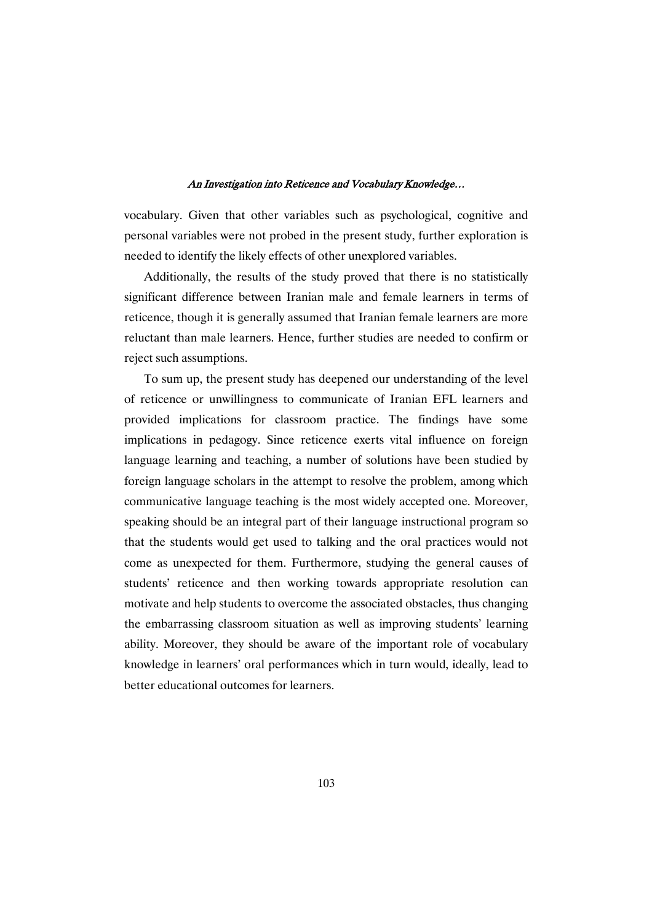vocabulary. Given that other variables such as psychological, cognitive and personal variables were not probed in the present study, further exploration is needed to identify the likely effects of other unexplored variables.

Additionally, the results of the study proved that there is no statistically significant difference between Iranian male and female learners in terms of reticence, though it is generally assumed that Iranian female learners are more reluctant than male learners. Hence, further studies are needed to confirm or reject such assumptions.

To sum up, the present study has deepened our understanding of the level of reticence or unwillingness to communicate of Iranian EFL learners and provided implications for classroom practice. The findings have some implications in pedagogy. Since reticence exerts vital influence on foreign language learning and teaching, a number of solutions have been studied by foreign language scholars in the attempt to resolve the problem, among which communicative language teaching is the most widely accepted one. Moreover, speaking should be an integral part of their language instructional program so that the students would get used to talking and the oral practices would not come as unexpected for them. Furthermore, studying the general causes of students' reticence and then working towards appropriate resolution can motivate and help students to overcome the associated obstacles, thus changing the embarrassing classroom situation as well as improving students' learning ability. Moreover, they should be aware of the important role of vocabulary knowledge in learners' oral performances which in turn would, ideally, lead to better educational outcomes for learners.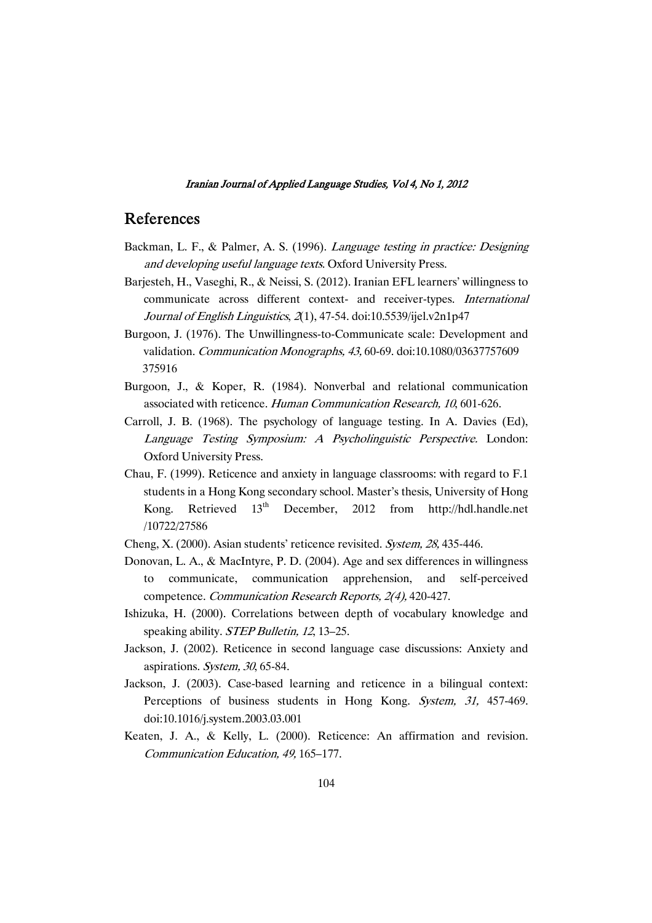### References

- Backman, L. F., & Palmer, A. S. (1996). Language testing in practice: Designing and developing useful language texts. Oxford University Press.
- Barjesteh, H., Vaseghi, R., & Neissi, S. (2012). Iranian EFL learners' willingness to communicate across different context- and receiver-types. International Journal of English Linguistics, <sup>2</sup>(1), 47-54. doi:10.5539/ijel.v2n1p47
- Burgoon, J. (1976). The Unwillingness-to-Communicate scale: Development and validation. Communication Monographs, 43, 60-69. doi:10.1080/03637757609 375916
- Burgoon, J., & Koper, R. (1984). Nonverbal and relational communication associated with reticence. Human Communication Research, <sup>10</sup>, 601-626.
- Carroll, J. B. (1968). The psychology of language testing. In A. Davies (Ed), Language Testing Symposium: <sup>A</sup> Psycholinguistic Perspective. London: Oxford University Press.
- Chau, F. (1999). Reticence and anxiety in language classrooms: with regard to F.1 students in a Hong Kong secondary school. Master's thesis, University of Hong Kong. Retrieved  $13<sup>th</sup>$  December, 2012 from http://hdl.handle.net /10722/27586
- Cheng, X. (2000). Asian students' reticence revisited. System, 28, 435-446.
- Donovan, L. A., & MacIntyre, P. D. (2004). Age and sex differences in willingness to communicate, communication apprehension, and self-perceived competence. Communication Research Reports, 2(4), 420-427.
- Ishizuka, H. (2000). Correlations between depth of vocabulary knowledge and speaking ability. *STEP Bulletin*, 12, 13–25.
- Jackson, J. (2002). Reticence in second language case discussions: Anxiety and aspirations. System, <sup>30</sup>, 65-84.
- Jackson, J. (2003). Case-based learning and reticence in a bilingual context: Perceptions of business students in Hong Kong. System, 31, 457-469. doi:10.1016/j.system.2003.03.001
- Keaten, J. A., & Kelly, L. (2000). Reticence: An affirmation and revision. Communication Education, 49, 165–177.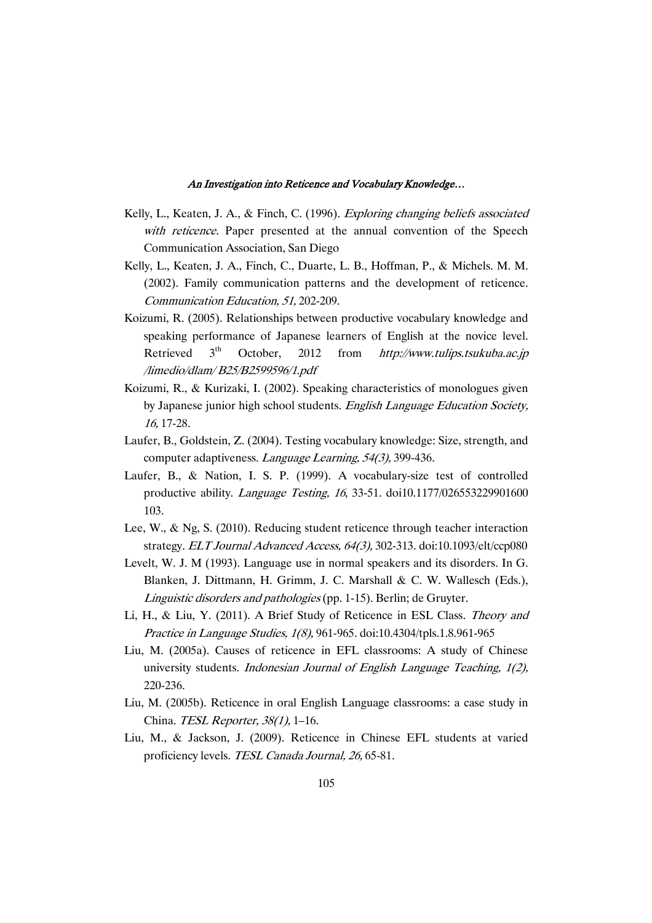- Kelly, L., Keaten, J. A., & Finch, C. (1996). Exploring changing beliefs associated with reticence. Paper presented at the annual convention of the Speech Communication Association, San Diego
- Kelly, L., Keaten, J. A., Finch, C., Duarte, L. B., Hoffman, P., & Michels. M. M. (2002). Family communication patterns and the development of reticence. Communication Education, 51, 202-209.
- Koizumi, R. (2005). Relationships between productive vocabulary knowledge and speaking performance of Japanese learners of English at the novice level. Retrieved  $3<sup>th</sup>$  October, 2012 from *http://www.tulips.tsukuba.ac.jp* /limedio/dlam/ B25/B2599596/1.pdf
- Koizumi, R., & Kurizaki, I. (2002). Speaking characteristics of monologues given by Japanese junior high school students. English Language Education Society, 16, 17-28.
- Laufer, B., Goldstein, Z. (2004). Testing vocabulary knowledge: Size, strength, and computer adaptiveness. Language Learning, 54(3), 399-436.
- Laufer, B., & Nation, I. S. P. (1999). A vocabulary-size test of controlled productive ability. Language Testing, <sup>16</sup>, 33-51. doi10.1177/026553229901600 103.
- Lee, W., & Ng, S. (2010). Reducing student reticence through teacher interaction strategy. ELT Journal Advanced Access, 64(3), 302-313. doi:10.1093/elt/ccp080
- Levelt, W. J. M (1993). Language use in normal speakers and its disorders. In G. Blanken, J. Dittmann, H. Grimm, J. C. Marshall & C. W. Wallesch (Eds.), Linguistic disorders and pathologies (pp. 1-15). Berlin; de Gruyter.
- Li, H., & Liu, Y. (2011). A Brief Study of Reticence in ESL Class. Theory and Practice in Language Studies, 1(8), 961-965. doi:10.4304/tpls.1.8.961-965
- Liu, M. (2005a). Causes of reticence in EFL classrooms: A study of Chinese university students. Indonesian Journal of English Language Teaching, 1(2), 220-236.
- Liu, M. (2005b). Reticence in oral English Language classrooms: a case study in China. TESL Reporter, 38(1), 1–16.
- Liu, M., & Jackson, J. (2009). Reticence in Chinese EFL students at varied proficiency levels. TESL Canada Journal, 26, 65-81.